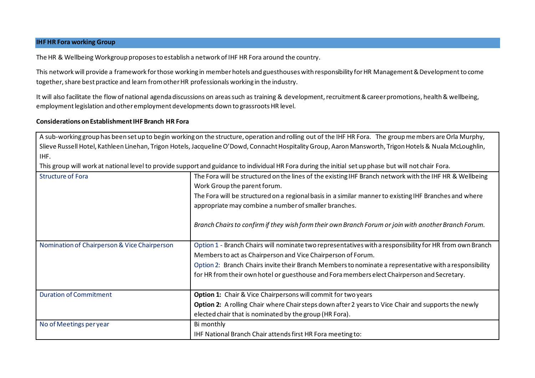## **IHF HR Fora working Group**

The HR & Wellbeing Workgroup proposesto establish a network of IHF HR Fora around the country.

This network will provide a framework for those working in member hotels and guesthouses with responsibility for HR Management & Developmentto come together, share best practice and learn from other HR professionals working in the industry.

It will also facilitate the flow of national agenda discussions on areas such as training & development, recruitment & career promotions, health & wellbeing, employment legislation and other employment developments down to grassroots HR level.

## **Considerations on Establishment IHF Branch HR Fora**

A sub-working group has been set up to begin working on the structure, operation and rolling out of the IHF HR Fora. The group members are Orla Murphy, Slieve Russell Hotel, Kathleen Linehan, Trigon Hotels, Jacqueline O'Dowd, Connacht Hospitality Group, Aaron Mansworth, Trigon Hotels & Nuala McLoughlin, IHF. This group will work at national level to provide support and guidance to individual HR Fora during the initial set up phase but will not chair Fora. Structure of Fora The Fora will be structured on the lines of the existing IHF Branch network with the IHF HR & Wellbeing Work Group the parent forum. The Fora will be structured on a regional basis in a similar manner to existing IHF Branches and where appropriate may combine a number of smaller branches. *Branch Chairs to confirm if they wish form their own Branch Forum or join with another Branch Forum.*  Nomination of Chairperson & Vice Chairperson  $\Box$  Option 1 - Branch Chairs will nominate two representatives with a responsibility for HR from own Branch Membersto act as Chairperson and Vice Chairperson of Forum. Option 2: Branch Chairs invite their Branch Members to nominate a representative with a responsibility for HR from their own hotel or guesthouse and Foramembers elect Chairperson and Secretary. Duration of Commitment **Option 1:** Chair & Vice Chairpersons will commit for two years **Option 2:** A rolling Chair where Chair steps down after 2 years to Vice Chair and supports the newly elected chair that is nominated by the group (HR Fora). No of Meetings per year Bi monthly IHF National Branch Chair attends first HR Fora meeting to: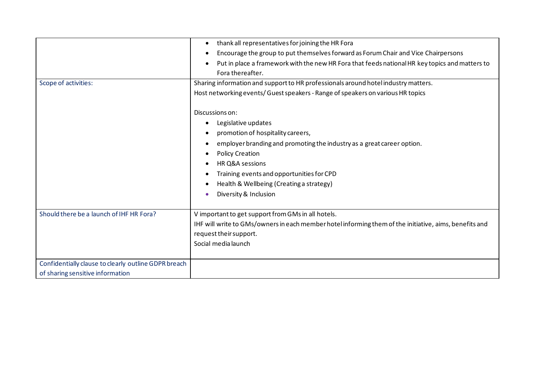|                                                      | thank all representatives for joining the HR Fora<br>٠                                                      |
|------------------------------------------------------|-------------------------------------------------------------------------------------------------------------|
|                                                      | Encourage the group to put themselves forward as Forum Chair and Vice Chairpersons<br>$\bullet$             |
|                                                      | Put in place a framework with the new HR Fora that feeds national HR key topics and matters to<br>$\bullet$ |
|                                                      | Fora thereafter.                                                                                            |
| Scope of activities:                                 | Sharing information and support to HR professionals around hotel industry matters.                          |
|                                                      | Host networking events/ Guest speakers - Range of speakers on various HR topics                             |
|                                                      |                                                                                                             |
|                                                      | Discussions on:                                                                                             |
|                                                      | Legislative updates<br>٠                                                                                    |
|                                                      | promotion of hospitality careers,                                                                           |
|                                                      | employer branding and promoting the industry as a great career option.<br>٠                                 |
|                                                      | <b>Policy Creation</b>                                                                                      |
|                                                      | HR Q&A sessions                                                                                             |
|                                                      | Training events and opportunities for CPD                                                                   |
|                                                      | Health & Wellbeing (Creating a strategy)                                                                    |
|                                                      | Diversity & Inclusion<br>$\epsilon$                                                                         |
|                                                      |                                                                                                             |
| Should there be a launch of IHF HR Fora?             | V important to get support from GMs in all hotels.                                                          |
|                                                      | IHF will write to GMs/owners in each member hotel informing them of the initiative, aims, benefits and      |
|                                                      | request their support.                                                                                      |
|                                                      | Social media launch                                                                                         |
|                                                      |                                                                                                             |
| Confidentially clause to clearly outline GDPR breach |                                                                                                             |
| of sharing sensitive information                     |                                                                                                             |